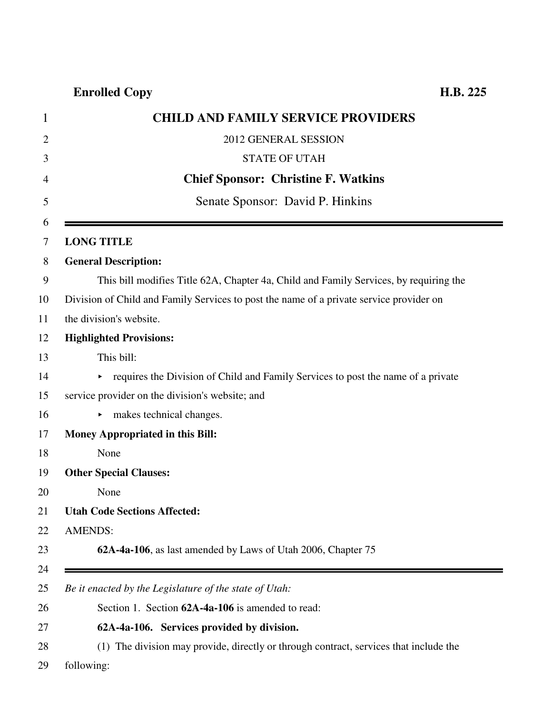## **Enrolled Copy H.B. 225**

| <b>CHILD AND FAMILY SERVICE PROVIDERS</b>                                                                 |
|-----------------------------------------------------------------------------------------------------------|
| 2012 GENERAL SESSION                                                                                      |
| <b>STATE OF UTAH</b>                                                                                      |
| <b>Chief Sponsor: Christine F. Watkins</b>                                                                |
| Senate Sponsor: David P. Hinkins                                                                          |
| <b>LONG TITLE</b>                                                                                         |
| <b>General Description:</b>                                                                               |
| This bill modifies Title 62A, Chapter 4a, Child and Family Services, by requiring the                     |
| Division of Child and Family Services to post the name of a private service provider on                   |
| the division's website.                                                                                   |
| <b>Highlighted Provisions:</b>                                                                            |
| This bill:                                                                                                |
| requires the Division of Child and Family Services to post the name of a private<br>$\blacktriangleright$ |
| service provider on the division's website; and                                                           |
| makes technical changes.<br>▶.                                                                            |
| Money Appropriated in this Bill:                                                                          |
| None                                                                                                      |
| <b>Other Special Clauses:</b>                                                                             |
| None                                                                                                      |
| <b>Utah Code Sections Affected:</b>                                                                       |
| <b>AMENDS:</b>                                                                                            |
| 62A-4a-106, as last amended by Laws of Utah 2006, Chapter 75                                              |
|                                                                                                           |
| Be it enacted by the Legislature of the state of Utah:                                                    |
| Section 1. Section 62A-4a-106 is amended to read:                                                         |
| 62A-4a-106. Services provided by division.                                                                |
| (1) The division may provide, directly or through contract, services that include the                     |
| following:                                                                                                |